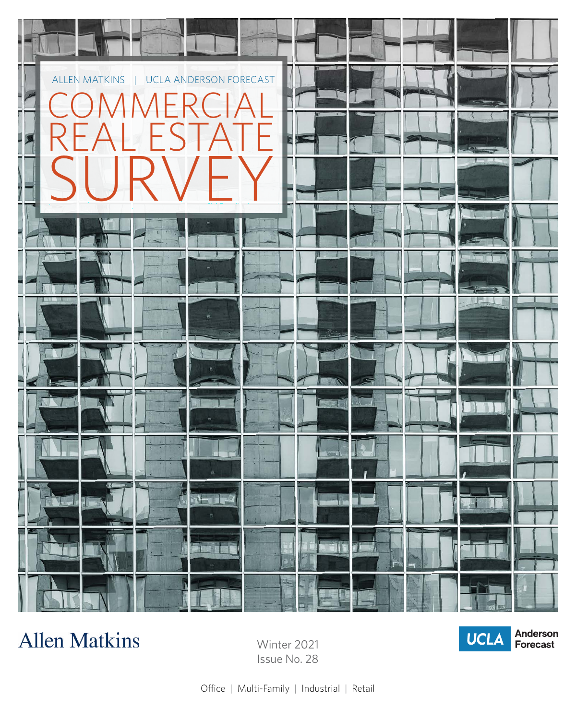

## **Allen Matkins**

Winter 2021 Issue No. 28



Office | Multi-Family | Industrial | Retail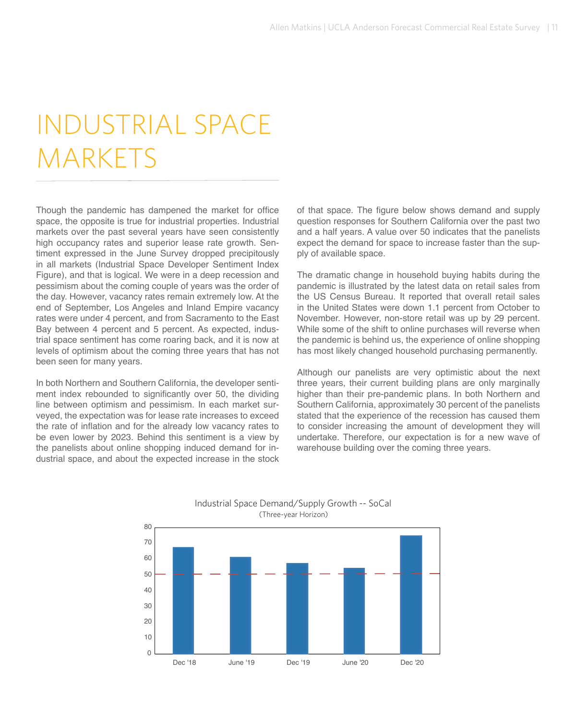## INDUSTRIAL SPACE **MARKETS**

Though the pandemic has dampened the market for office space, the opposite is true for industrial properties. Industrial markets over the past several years have seen consistently high occupancy rates and superior lease rate growth. Sentiment expressed in the June Survey dropped precipitously in all markets (Industrial Space Developer Sentiment Index Figure), and that is logical. We were in a deep recession and pessimism about the coming couple of years was the order of the day. However, vacancy rates remain extremely low. At the end of September, Los Angeles and Inland Empire vacancy rates were under 4 percent, and from Sacramento to the East Bay between 4 percent and 5 percent. As expected, industrial space sentiment has come roaring back, and it is now at levels of optimism about the coming three years that has not been seen for many years.

In both Northern and Southern California, the developer sentiment index rebounded to significantly over 50, the dividing line between optimism and pessimism. In each market surveyed, the expectation was for lease rate increases to exceed the rate of inflation and for the already low vacancy rates to be even lower by 2023. Behind this sentiment is a view by the panelists about online shopping induced demand for industrial space, and about the expected increase in the stock

of that space. The figure below shows demand and supply question responses for Southern California over the past two and a half years. A value over 50 indicates that the panelists expect the demand for space to increase faster than the supply of available space.

The dramatic change in household buying habits during the pandemic is illustrated by the latest data on retail sales from the US Census Bureau. It reported that overall retail sales in the United States were down 1.1 percent from October to November. However, non-store retail was up by 29 percent. While some of the shift to online purchases will reverse when the pandemic is behind us, the experience of online shopping has most likely changed household purchasing permanently.

Although our panelists are very optimistic about the next three years, their current building plans are only marginally higher than their pre-pandemic plans. In both Northern and Southern California, approximately 30 percent of the panelists stated that the experience of the recession has caused them to consider increasing the amount of development they will undertake. Therefore, our expectation is for a new wave of warehouse building over the coming three years.